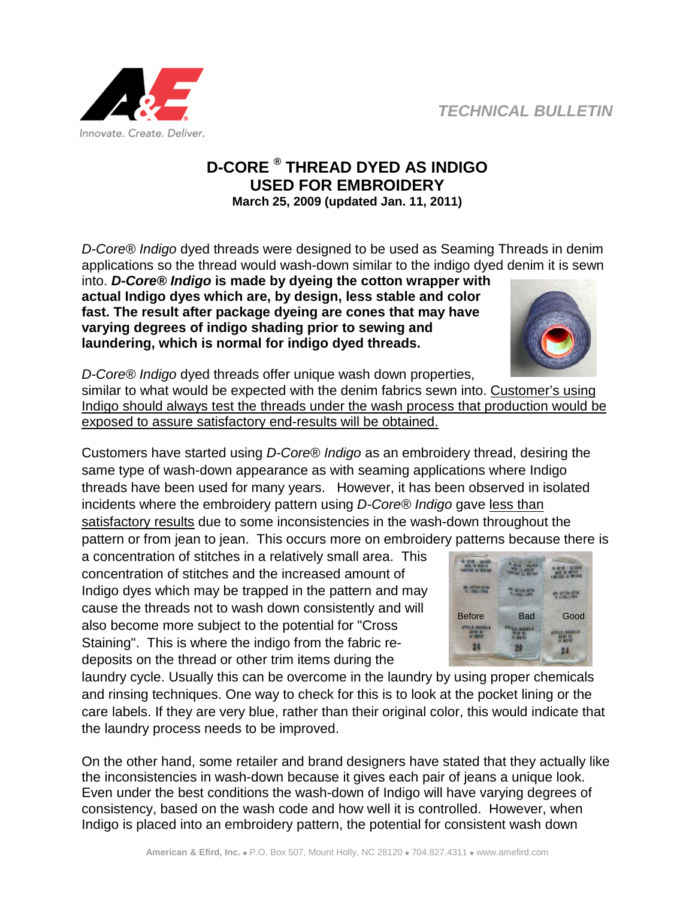

## **D-CORE ® THREAD DYED AS INDIGO USED FOR EMBROIDERY March 25, 2009 (updated Jan. 11, 2011)**

*D-Core® Indigo* dyed threads were designed to be used as Seaming Threads in denim applications so the thread would wash-down similar to the indigo dyed denim it is sewn

into. *D-Core® Indigo* **is made by dyeing the cotton wrapper with actual Indigo dyes which are, by design, less stable and color fast. The result after package dyeing are cones that may have varying degrees of indigo shading prior to sewing and laundering, which is normal for indigo dyed threads.** 



*D-Core® Indigo* dyed threads offer unique wash down properties, similar to what would be expected with the denim fabrics sewn into. Customer's using Indigo should always test the threads under the wash process that production would be exposed to assure satisfactory end-results will be obtained.

Customers have started using *D-Core® Indigo* as an embroidery thread, desiring the same type of wash-down appearance as with seaming applications where Indigo threads have been used for many years. However, it has been observed in isolated incidents where the embroidery pattern using *D-Core® Indigo* gave less than satisfactory results due to some inconsistencies in the wash-down throughout the pattern or from jean to jean. This occurs more on embroidery patterns because there is

a concentration of stitches in a relatively small area. This concentration of stitches and the increased amount of Indigo dyes which may be trapped in the pattern and may cause the threads not to wash down consistently and will also become more subject to the potential for "Cross Staining". This is where the indigo from the fabric redeposits on the thread or other trim items during the

laundry cycle. Usually this can be overcome in the laundry by using proper chemicals and rinsing techniques. One way to check for this is to look at the pocket lining or the care labels. If they are very blue, rather than their original color, this would indicate that the laundry process needs to be improved.

On the other hand, some retailer and brand designers have stated that they actually like the inconsistencies in wash-down because it gives each pair of jeans a unique look. Even under the best conditions the wash-down of Indigo will have varying degrees of consistency, based on the wash code and how well it is controlled. However, when Indigo is placed into an embroidery pattern, the potential for consistent wash down